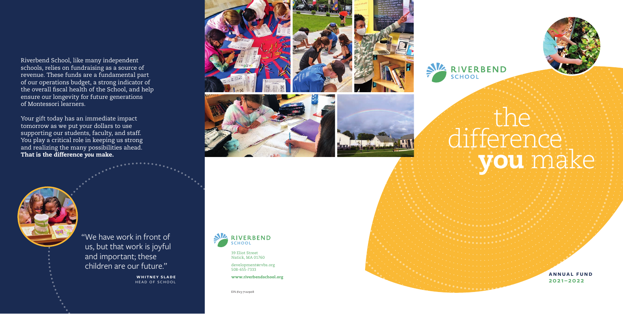EIN #23-7122908











**ANNUAL FUND 2021–2022** 

# the difference you make

## Riverbend School, like many independent schools, relies on fundraising as a source of revenue. These funds are a fundamental part of our operations budget, a strong indicator of overall fiscal health of the School, and help the overall fiscal health of the School, and help ensure our longevity for future generations of Montessori learners.

Your gift today has an immediate impact tomorrow as we put your dollars to use supporting our students, faculty, and staff. You play a critical role in keeping us strong and realizing the many possibilities ahead. That is the difference *you* make.





"We have work in front of us, but that work is joyful and important; these children are our future."

> **WHITNEY SLADE** HEAD OF SCHOOL



39 Eliot Street Natick, MA 01760

development @rvbs.org 508-655-7333

www.riverbendschool.org